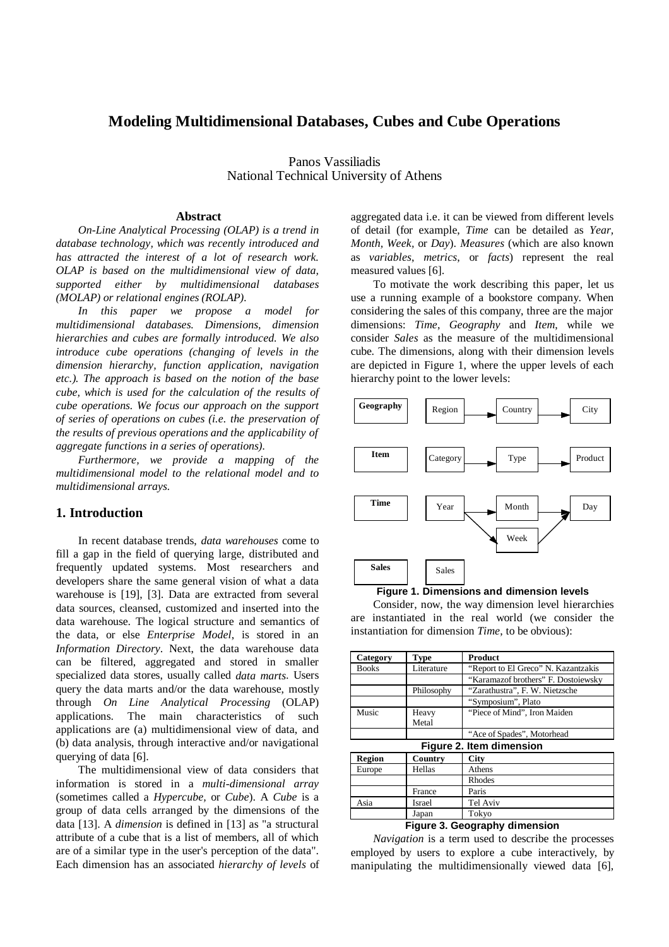# **Modeling Multidimensional Databases, Cubes and Cube Operations**

Panos Vassiliadis National Technical University of Athens

### **Abstract**

*On-Line Analytical Processing (OLAP) is a trend in database technology, which was recently introduced and has attracted the interest of a lot of research work. OLAP is based on the multidimensional view of data, supported either by multidimensional databases (MOLAP) or relational engines (ROLAP).*

*In this paper we propose a model for multidimensional databases. Dimensions, dimension hierarchies and cubes are formally introduced. We also introduce cube operations (changing of levels in the dimension hierarchy, function application, navigation etc.). The approach is based on the notion of the base cube, which is used for the calculation of the results of cube operations. We focus our approach on the support of series of operations on cubes (i.e. the preservation of the results of previous operations and the applicability of aggregate functions in a series of operations).*

*Furthermore, we provide a mapping of the multidimensional model to the relational model and to multidimensional arrays.*

## **1. Introduction**

In recent database trends, *data warehouses* come to fill a gap in the field of querying large, distributed and frequently updated systems. Most researchers and developers share the same general vision of what a data warehouse is [19], [3]. Data are extracted from several data sources, cleansed, customized and inserted into the data warehouse. The logical structure and semantics of the data, or else *Enterprise Model*, is stored in an *Information Directory*. Next, the data warehouse data can be filtered, aggregated and stored in smaller specialized data stores, usually called *data marts*. Users query the data marts and/or the data warehouse, mostly through *On Line Analytical Processing* (OLAP) applications. The main characteristics of such applications are (a) multidimensional view of data, and (b) data analysis, through interactive and/or navigational querying of data [6].

The multidimensional view of data considers that information is stored in a *multi-dimensional array* (sometimes called a *Hypercube,* or *Cube*). A *Cube* is a group of data cells arranged by the dimensions of the data [13]. A *dimension* is defined in [13] as "a structural attribute of a cube that is a list of members, all of which are of a similar type in the user's perception of the data". Each dimension has an associated *hierarchy of levels* of aggregated data i.e. it can be viewed from different levels of detail (for example, *Time* can be detailed as *Year, Month, Week,* or *Day*). *Measures* (which are also known as *variables*, *metrics*, or *facts*) represent the real measured values [6].

To motivate the work describing this paper, let us use a running example of a bookstore company. When considering the sales of this company, three are the major dimensions: *Time*, *Geography* and *Item*, while we consider *Sales* as the measure of the multidimensional cube. The dimensions, along with their dimension levels are depicted in Figure 1, where the upper levels of each hierarchy point to the lower levels:



**Figure 1. Dimensions and dimension levels**

Consider, now, the way dimension level hierarchies are instantiated in the real world (we consider the instantiation for dimension *Time*, to be obvious):

| Category     | <b>Type</b> | <b>Product</b>                      |
|--------------|-------------|-------------------------------------|
| <b>Books</b> | Literature  | "Report to El Greco" N. Kazantzakis |
|              |             | "Karamazof brothers" F. Dostoiewsky |
|              | Philosophy  | "Zarathustra", F. W. Nietzsche      |
|              |             | "Symposium", Plato                  |
| Music        | Heavy       | "Piece of Mind", Iron Maiden        |
|              | Metal       |                                     |
|              |             | "Ace of Spades", Motorhead          |
|              |             | Figure 2. Item dimension            |
| Region       | Country     | City                                |
| Europe       | Hellas      | Athens                              |
|              |             | Rhodes                              |
|              | France      | Paris                               |
| Asia         | Israel      | Tel Aviv                            |
|              | Japan       | Tokyo                               |

**Figure 3. Geography dimension**

*Navigation* is a term used to describe the processes employed by users to explore a cube interactively, by manipulating the multidimensionally viewed data [6],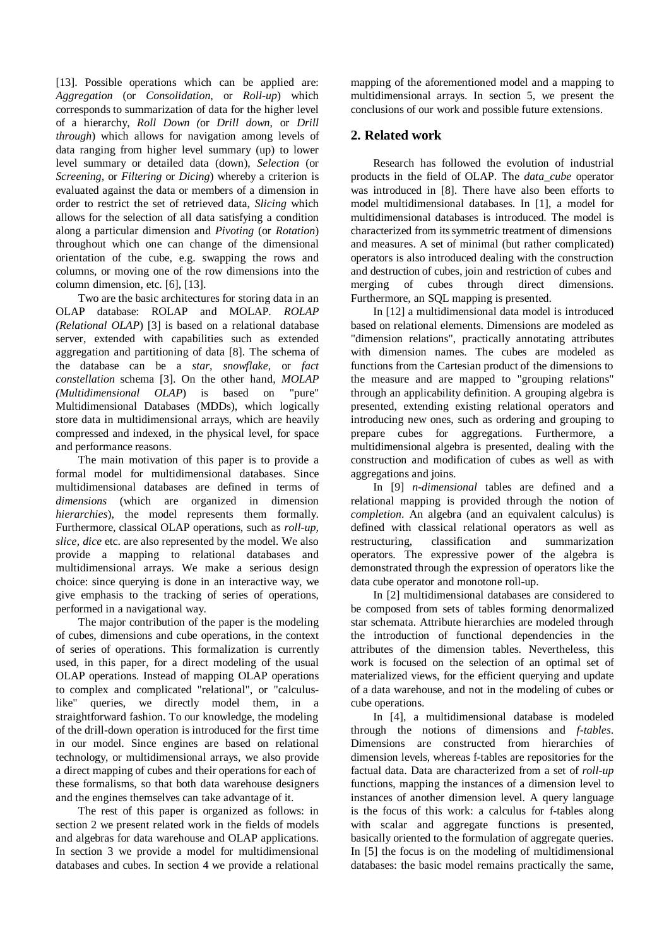[13]. Possible operations which can be applied are: *Aggregation* (or *Consolidation*, or *Roll-up*) which corresponds to summarization of data for the higher level of a hierarchy, *Roll Down (*or *Drill down*, or *Drill through*) which allows for navigation among levels of data ranging from higher level summary (up) to lower level summary or detailed data (down), *Selection* (or *Screening*, or *Filtering* or *Dicing*) whereby a criterion is evaluated against the data or members of a dimension in order to restrict the set of retrieved data, *Slicing* which allows for the selection of all data satisfying a condition along a particular dimension and *Pivoting* (or *Rotation*) throughout which one can change of the dimensional orientation of the cube, e.g. swapping the rows and columns, or moving one of the row dimensions into the column dimension, etc. [6], [13].

Two are the basic architectures for storing data in an OLAP database: ROLAP and MOLAP. *ROLAP (Relational OLAP*) [3] is based on a relational database server, extended with capabilities such as extended aggregation and partitioning of data [8]. The schema of the database can be a *star, snowflake,* or *fact constellation* schema [3]. On the other hand, *MOLAP (Multidimensional OLAP*) is based on "pure" Multidimensional Databases (MDDs), which logically store data in multidimensional arrays, which are heavily compressed and indexed, in the physical level, for space and performance reasons.

The main motivation of this paper is to provide a formal model for multidimensional databases. Since multidimensional databases are defined in terms of *dimensions* (which are organized in dimension *hierarchies*), the model represents them formally. Furthermore, classical OLAP operations, such as *roll-up, slice, dice* etc. are also represented by the model. We also provide a mapping to relational databases and multidimensional arrays. We make a serious design choice: since querying is done in an interactive way, we give emphasis to the tracking of series of operations, performed in a navigational way.

The major contribution of the paper is the modeling of cubes, dimensions and cube operations, in the context of series of operations. This formalization is currently used, in this paper, for a direct modeling of the usual OLAP operations. Instead of mapping OLAP operations to complex and complicated "relational", or "calculuslike" queries, we directly model them, in a straightforward fashion. To our knowledge, the modeling of the drill-down operation is introduced for the first time in our model. Since engines are based on relational technology, or multidimensional arrays, we also provide a direct mapping of cubes and their operations for each of these formalisms, so that both data warehouse designers and the engines themselves can take advantage of it.

The rest of this paper is organized as follows: in section 2 we present related work in the fields of models and algebras for data warehouse and OLAP applications. In section 3 we provide a model for multidimensional databases and cubes. In section 4 we provide a relational mapping of the aforementioned model and a mapping to multidimensional arrays. In section 5, we present the conclusions of our work and possible future extensions.

## **2. Related work**

Research has followed the evolution of industrial products in the field of OLAP. The *data\_cube* operator was introduced in [8]. There have also been efforts to model multidimensional databases. In [1], a model for multidimensional databases is introduced. The model is characterized from its symmetric treatment of dimensions and measures. A set of minimal (but rather complicated) operators is also introduced dealing with the construction and destruction of cubes, join and restriction of cubes and<br>merging of cubes through direct dimensions. merging of cubes through direct dimensions. Furthermore, an SQL mapping is presented.

In [12] a multidimensional data model is introduced based on relational elements. Dimensions are modeled as "dimension relations", practically annotating attributes with dimension names. The cubes are modeled as functions from the Cartesian product of the dimensions to the measure and are mapped to "grouping relations" through an applicability definition. A grouping algebra is presented, extending existing relational operators and introducing new ones, such as ordering and grouping to prepare cubes for aggregations. Furthermore, a multidimensional algebra is presented, dealing with the construction and modification of cubes as well as with aggregations and joins.

In [9] *n-dimensional* tables are defined and a relational mapping is provided through the notion of *completion*. An algebra (and an equivalent calculus) is defined with classical relational operators as well as restructuring, classification and summarization operators. The expressive power of the algebra is demonstrated through the expression of operators like the data cube operator and monotone roll-up.

In [2] multidimensional databases are considered to be composed from sets of tables forming denormalized star schemata. Attribute hierarchies are modeled through the introduction of functional dependencies in the attributes of the dimension tables. Nevertheless, this work is focused on the selection of an optimal set of materialized views, for the efficient querying and update of a data warehouse, and not in the modeling of cubes or cube operations.

In [4], a multidimensional database is modeled through the notions of dimensions and *f-tables*. Dimensions are constructed from hierarchies of dimension levels, whereas f-tables are repositories for the factual data. Data are characterized from a set of *roll-up* functions, mapping the instances of a dimension level to instances of another dimension level. A query language is the focus of this work: a calculus for f-tables along with scalar and aggregate functions is presented, basically oriented to the formulation of aggregate queries. In [5] the focus is on the modeling of multidimensional databases: the basic model remains practically the same,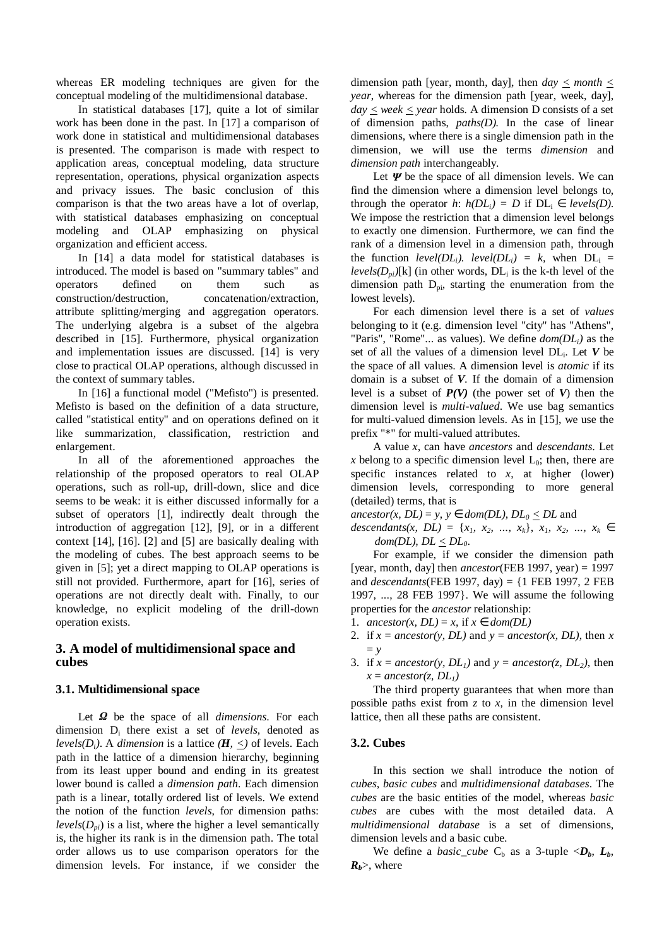whereas ER modeling techniques are given for the conceptual modeling of the multidimensional database.

In statistical databases [17], quite a lot of similar work has been done in the past. In [17] a comparison of work done in statistical and multidimensional databases is presented. The comparison is made with respect to application areas, conceptual modeling, data structure representation, operations, physical organization aspects and privacy issues. The basic conclusion of this comparison is that the two areas have a lot of overlap, with statistical databases emphasizing on conceptual modeling and OLAP emphasizing on physical organization and efficient access.

In [14] a data model for statistical databases is introduced. The model is based on "summary tables" and operators defined on them such as construction/destruction, concatenation/extraction, attribute splitting/merging and aggregation operators. The underlying algebra is a subset of the algebra described in [15]. Furthermore, physical organization and implementation issues are discussed. [14] is very close to practical OLAP operations, although discussed in the context of summary tables.

In [16] a functional model ("Mefisto") is presented. Mefisto is based on the definition of a data structure, called "statistical entity" and on operations defined on it like summarization, classification, restriction and enlargement.

In all of the aforementioned approaches the relationship of the proposed operators to real OLAP operations, such as roll-up, drill-down, slice and dice seems to be weak: it is either discussed informally for a subset of operators [1], indirectly dealt through the introduction of aggregation [12], [9], or in a different context [14], [16]. [2] and [5] are basically dealing with the modeling of cubes. The best approach seems to be given in [5]; yet a direct mapping to OLAP operations is still not provided. Furthermore, apart for [16], series of operations are not directly dealt with. Finally, to our knowledge, no explicit modeling of the drill-down operation exists.

## **3. A model of multidimensional space and cubes**

#### **3.1. Multidimensional space**

Let  $\Omega$  be the space of all *dimensions*. For each dimension D<sup>i</sup> there exist a set of *levels*, denoted as *levels(D<sub>i</sub>*). A *dimension* is a lattice  $(H, \leq)$  of levels. Each path in the lattice of a dimension hierarchy, beginning from its least upper bound and ending in its greatest lower bound is called a *dimension path*. Each dimension path is a linear, totally ordered list of levels. We extend the notion of the function *levels*, for dimension paths:  $levels(D_{pi})$  is a list, where the higher a level semantically is, the higher its rank is in the dimension path. The total order allows us to use comparison operators for the dimension levels. For instance, if we consider the

dimension path [year, month, day], then *day < month < year*, whereas for the dimension path [year, week, day], *day < week < year* holds*.* A dimension D consists of a set of dimension paths, *paths(D).* In the case of linear dimensions, where there is a single dimension path in the dimension, we will use the terms *dimension* and *dimension path* interchangeably.

Let  $\Psi$  be the space of all dimension levels. We can find the dimension where a dimension level belongs to, through the operator *h*:  $h(DL_i) = D$  if  $DL_i \in levels(D)$ . We impose the restriction that a dimension level belongs to exactly one dimension. Furthermore, we can find the rank of a dimension level in a dimension path, through the function *level(DL<sub>i</sub>*). *level(DL<sub>i</sub>*) =  $k$ , when DL<sub>i</sub> =  $levels(D_{pi})[k]$  (in other words,  $DL_i$  is the k-th level of the dimension path  $D_{pi}$ , starting the enumeration from the lowest levels).

For each dimension level there is a set of *values* belonging to it (e.g. dimension level "city" has "Athens", "Paris", "Rome"... as values). We define *dom(DLi)* as the set of all the values of a dimension level DL<sup>i</sup> . Let *V* be the space of all values. A dimension level is *atomic* if its domain is a subset of *V*. If the domain of a dimension level is a subset of *P(V)* (the power set of *V*) then the dimension level is *multi-valued*. We use bag semantics for multi-valued dimension levels. As in [15], we use the prefix "\*" for multi-valued attributes.

A value *x*, can have *ancestors* and *descendants*. Let *x* belong to a specific dimension level  $L_0$ ; then, there are specific instances related to  $x$ , at higher (lower) dimension levels, corresponding to more general (detailed) terms, that is

 $\text{arcestor}(x, DL) = y, y \in \text{dom}(DL), DL_0 < DL$  and

*descendants(x, DL)* = { $x_1$ *, x*<sub>2</sub>*, ..., x*<sub>k</sub>}, *x*<sub>1</sub>*, x*<sub>2</sub>*, ..., x*<sub>k</sub> ∈  $dom(DL), DL < DL<sub>0</sub>$ .

For example, if we consider the dimension path [year, month, day] then *ancestor*(FEB 1997, year) = 1997 and *descendants*(FEB 1997, day) = {1 FEB 1997, 2 FEB 1997, ..., 28 FEB 1997}. We will assume the following properties for the *ancestor* relationship:

- 1. *ancestor(x, DL)* = *x,* if  $x \in dom(DL)$
- 2. if  $x =$  *ancestor(y, DL)* and  $y =$  *ancestor(x, DL)*, then *x*  $=$   $v$
- 3. if  $x =$  *ancestor(y, DL<sub>1</sub>)* and  $y =$  *ancestor(z, DL<sub>2</sub>)*, then  $x =$ *ancestor*(*z*, *DL*<sub>*1*</sub>)

The third property guarantees that when more than possible paths exist from *z* to *x*, in the dimension level lattice, then all these paths are consistent.

#### **3.2. Cubes**

In this section we shall introduce the notion of *cubes*, *basic cubes* and *multidimensional databases*. The *cubes* are the basic entities of the model, whereas *basic cubes* are cubes with the most detailed data. A *multidimensional database* is a set of dimensions, dimension levels and a basic cube.

We define a *basic\_cube*  $C_b$  as a 3-tuple  $\langle D_b, L_b, L_c \rangle$  $R_b$ , where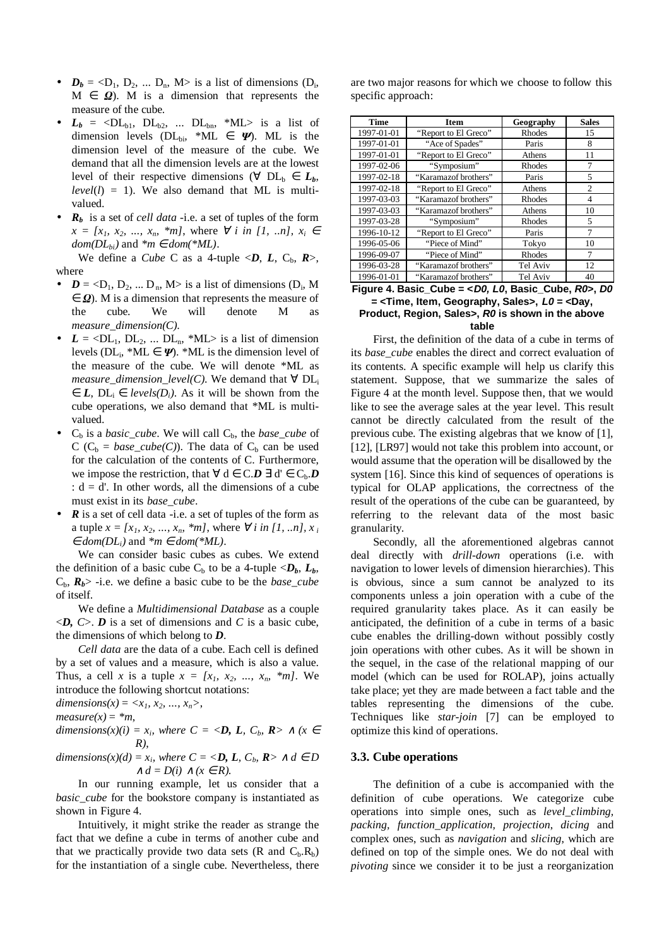- $D_b = \langle D_1, D_2, \dots D_n, M \rangle$  is a list of dimensions  $(D_i,$  $M \in \Omega$ ). M is a dimension that represents the measure of the cube.
- $L_b = \langle DL_{b1}, DL_{b2}, ... DL_{bn}, *ML>$  is a list of dimension levels  $(DL_{bi}, *ML \in \Psi)$ . ML is the dimension level of the measure of the cube. We demand that all the dimension levels are at the lowest level of their respective dimensions ( $\forall$  DL<sub>b</sub>  $\in$  **L**<sub>b</sub>,  $level(l) = 1$ ). We also demand that ML is multivalued.
- $\mathbf{R}_b$  is a set of *cell data* -i.e. a set of tuples of the form *x* =  $[x_1, x_2, ..., x_n, *m],$  where  $∀$  *i* in  $[1, ..., n], x_i ∈$  $dom(DL_{bi})$  and  $\ast m \in dom(\ast ML)$ .

We define a *Cube* C as a 4-tuple  $\langle D, L, C_{\rm b}, R \rangle$ , where

- $D = \langle D_1, D_2, ... D_n, M \rangle$  is a list of dimensions  $(D_i, M)$  $\in \Omega$ ). M is a dimension that represents the measure of the cube. We will denote M as *measure\_dimension(C)*.
- $L = \langle DL_1, DL_2, ... DL_n, *ML \rangle$  is a list of dimension levels (DL<sub>i</sub>, \*ML  $\in \Psi$ ). \*ML is the dimension level of the measure of the cube. We will denote \*ML as *measure dimension level(C)*. We demand that  $\forall$  DL<sub>i</sub>  $\in L$ ,  $DL_i \in levels(D_i)$ . As it will be shown from the cube operations, we also demand that \*ML is multivalued.
- $C_b$  is a *basic\_cube*. We will call  $C_b$ , the *base\_cube* of C ( $C_b = base\_cube(C)$ ). The data of  $C_b$  can be used for the calculation of the contents of C. Furthermore, we impose the restriction, that  $\forall d \in C.D \exists d' \in C_b.D$ :  $d = d'$ . In other words, all the dimensions of a cube must exist in its *base\_cube*.
- *R* is a set of cell data -i.e. a set of tuples of the form as a tuple  $x = [x_1, x_2, ..., x_n, *m]$ , where  $\forall i$  in [1, ..n],  $x_i$  $\in dom(DL_i)$  and  $\stackrel{*}{m} \in dom(\stackrel{*}{m}L)$ .

We can consider basic cubes as cubes. We extend the definition of a basic cube  $C_b$  to be a 4-tuple  $\langle D_b, L_b, L_c \rangle$  $C_b$ ,  $R_b$  -i.e. we define a basic cube to be the *base\_cube* of itself.

We define a *Multidimensional Database* as a couple  $\langle D, C \rangle$ . *D* is a set of dimensions and *C* is a basic cube, the dimensions of which belong to *D*.

*Cell data* are the data of a cube. Each cell is defined by a set of values and a measure, which is also a value. Thus, a cell *x* is a tuple  $x = [x_1, x_2, ..., x_n, x_m]$ . We introduce the following shortcut notations:

*dimensions*(
$$
x
$$
) =  $\langle x_1, x_2, ..., x_n \rangle$ ,

 $measure(x) = *m$ ,

*dimensions*(*x*)(*i*) = *x*<sub>*i*</sub>, where  $C = \langle D, L, C_b, R \rangle \wedge (x \in$ *R)*,

*dimensions*(*x*)(*d*) = *x*<sub>*i*</sub>, where  $C = \langle D, L, C_b, R \rangle \land d \in D$  $∧ d = D(i) ∧ (x ∈ R).$ 

In our running example, let us consider that a *basic\_cube* for the bookstore company is instantiated as shown in Figure 4.

Intuitively, it might strike the reader as strange the fact that we define a cube in terms of another cube and that we practically provide two data sets  $(R \text{ and } C_{\text{b}}. R_{\text{b}})$ for the instantiation of a single cube. Nevertheless, there

are two major reasons for which we choose to follow this specific approach:

| Time       | <b>Item</b>               | Geography       | <b>Sales</b>   |
|------------|---------------------------|-----------------|----------------|
| 1997-01-01 | "Report to El Greco"      | Rhodes          | 15             |
| 1997-01-01 | "Ace of Spades"           | Paris           | 8              |
| 1997-01-01 | "Report to El Greco"      | Athens          | 11             |
| 1997-02-06 | "Symposium"               | Rhodes          | 7              |
| 1997-02-18 | "Karamazof brothers"      | Paris           | 5              |
| 1997-02-18 | "Report to El Greco"      | Athens          | 2              |
| 1997-03-03 | "Karamazof brothers"      | Rhodes          | $\overline{4}$ |
| 1997-03-03 | "Karamazof brothers"      | Athens          | 10             |
| 1997-03-28 | "Symposium"               | Rhodes          | 5              |
| 1996-10-12 | "Report to El Greco"      | Paris           | 7              |
| 1996-05-06 | "Piece of Mind"           | Tokyo           | 10             |
| 1996-09-07 | "Piece of Mind"           | Rhodes          | 7              |
| 1996-03-28 | "Karamazof brothers"      | Tel Aviv        | 12             |
| 1996-01-01 | "Karamazof brothers"<br>. | Tel Aviv<br>. . | 40             |

#### **Figure 4. Basic\_Cube = <D0, L0, Basic\_Cube, R0>, D0 = <Time, Item, Geography, Sales>, L0 = <Day, Product, Region, Sales>, R0 is shown in the above table**

First, the definition of the data of a cube in terms of its *base* cube enables the direct and correct evaluation of its contents. A specific example will help us clarify this statement. Suppose, that we summarize the sales of Figure 4 at the month level. Suppose then, that we would like to see the average sales at the year level. This result cannot be directly calculated from the result of the previous cube. The existing algebras that we know of [1], [12], [LR97] would not take this problem into account, or would assume that the operation will be disallowed by the system [16]. Since this kind of sequences of operations is typical for OLAP applications, the correctness of the result of the operations of the cube can be guaranteed, by referring to the relevant data of the most basic granularity.

Secondly, all the aforementioned algebras cannot deal directly with *drill-down* operations (i.e. with navigation to lower levels of dimension hierarchies). This is obvious, since a sum cannot be analyzed to its components unless a join operation with a cube of the required granularity takes place. As it can easily be anticipated, the definition of a cube in terms of a basic cube enables the drilling-down without possibly costly join operations with other cubes. As it will be shown in the sequel, in the case of the relational mapping of our model (which can be used for ROLAP), joins actually take place; yet they are made between a fact table and the tables representing the dimensions of the cube. Techniques like *star-join* [7] can be employed to optimize this kind of operations.

## **3.3. Cube operations**

The definition of a cube is accompanied with the definition of cube operations. We categorize cube operations into simple ones, such as *level\_climbing, packing, function\_application, projection*, *dicing* and complex ones, such as *navigation* and *slicing*, which are defined on top of the simple ones*.* We do not deal with *pivoting* since we consider it to be just a reorganization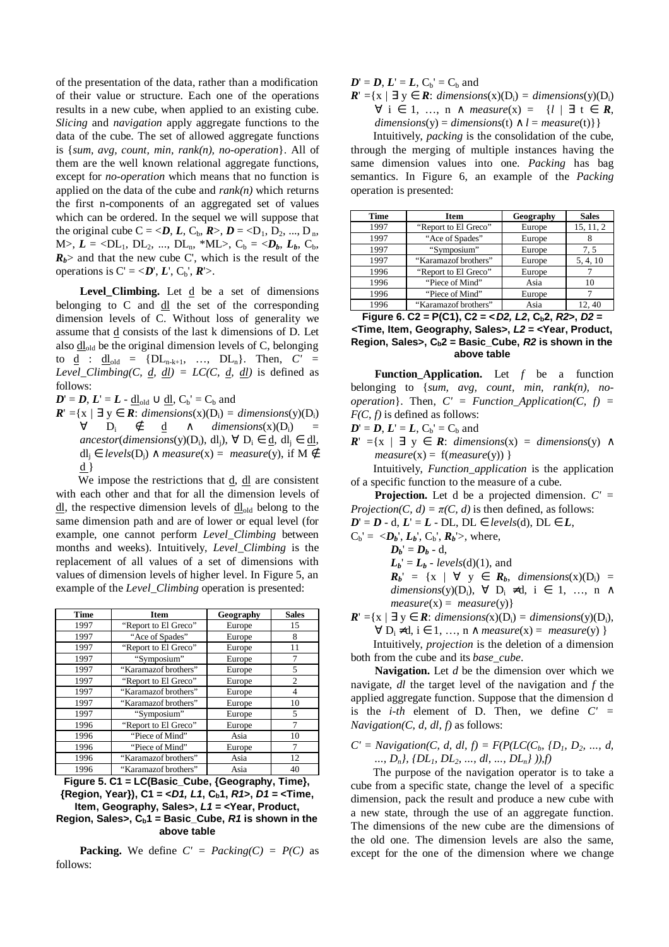of the presentation of the data, rather than a modification of their value or structure. Each one of the operations results in a new cube, when applied to an existing cube. *Slicing* and *navigation* apply aggregate functions to the data of the cube. The set of allowed aggregate functions is {*sum, avg, count, min, rank(n), no-operation*}. All of them are the well known relational aggregate functions, except for *no-operation* which means that no function is applied on the data of the cube and *rank(n)* which returns the first n-components of an aggregated set of values which can be ordered. In the sequel we will suppose that the original cube  $C = \langle D, L, C_{b}, R \rangle, D = \langle D_1, D_2, ..., D_n,$  $M$ ,  $L = \langle DL_1, DL_2, ..., DL_n, *ML$ ,  $C_b = \langle D_b, L_b, C_b,$  $R_b$  and that the new cube C', which is the result of the operations is  $C' = \langle D', L', C_{b}, R' \rangle$ .

**Level\_Climbing.** Let d be a set of dimensions belonging to C and dl the set of the corresponding dimension levels of C. Without loss of generality we assume that d consists of the last k dimensions of D. Let also  $dl_{old}$  be the original dimension levels of C, belonging to  $\underline{d}$  :  $\underline{dl}_{old}$  = {DL<sub>n-k+1</sub>, ..., DL<sub>n</sub>}. Then,  $C'$  = Level\_Climbing(C,  $\underline{d}$ ,  $\underline{d}$ ) = LC(C,  $\underline{d}$ ,  $\underline{d}$ ) is defined as follows:

 $D' = D, L' = L - \underline{dl}_{old} \cup \underline{dl}, C_b' = C_b$  and

 $R' = \{x \mid \exists y \in R : \text{dimensions}(x)(D_i) = \text{dimensions}(y)(D_i)\}$  $\forall$  D<sub>i</sub> ∉ d ∧ *dimensions*(x)(D<sub>i</sub>)  $\textit{ancestor}(dimensions(y)(D_i), dl_i), \forall D_i \in \underline{d}, dl_i \in \underline{dl},$ dl<sup>j</sup> ∈ *levels*(Dj) ∧ *measure*(x) = *measure*(y), if M ∉ d }

We impose the restrictions that  $\underline{d}$ ,  $\underline{d}$  are consistent with each other and that for all the dimension levels of dl, the respective dimension levels of  $dl_{old}$  belong to the same dimension path and are of lower or equal level (for example, one cannot perform *Level\_Climbing* between months and weeks). Intuitively, *Level\_Climbing* is the replacement of all values of a set of dimensions with values of dimension levels of higher level. In Figure 5, an example of the *Level\_Climbing* operation is presented:

| <b>Time</b> | <b>Item</b>          | Geography | <b>Sales</b>   |
|-------------|----------------------|-----------|----------------|
| 1997        | "Report to El Greco" | Europe    | 15             |
| 1997        | "Ace of Spades"      | Europe    | 8              |
| 1997        | "Report to El Greco" | Europe    | 11             |
| 1997        | "Symposium"          | Europe    | 7              |
| 1997        | "Karamazof brothers" | Europe    | 5              |
| 1997        | "Report to El Greco" | Europe    | $\overline{c}$ |
| 1997        | "Karamazof brothers" | Europe    | 4              |
| 1997        | "Karamazof brothers" | Europe    | 10             |
| 1997        | "Symposium"          | Europe    | 5              |
| 1996        | "Report to El Greco" | Europe    | 7              |
| 1996        | "Piece of Mind"      | Asia      | 10             |
| 1996        | "Piece of Mind"      | Europe    | 7              |
| 1996        | "Karamazof brothers" | Asia      | 12             |
| 1996        | "Karamazof brothers" | Asia      | 40             |

**Figure 5. C1 = LC(Basic\_Cube, {Geography, Time}, {Region, Year}), C1 = <D1, L1, Cb1, R1>, D1 = <Time,**

#### **Item, Geography, Sales>, L1 = <Year, Product, Region, Sales>, Cb1 = Basic\_Cube, R1 is shown in the above table**

**Packing.** We define  $C' = Packing(C) = P(C)$  as follows:

 $D' = D, L' = L, C_b' = C_b$  and

 $R' = \{x \mid \exists y \in R : dimension(s)(D_i) = dimension(s(y)(D_i))\}$  $\forall$  i ∈ 1, ..., n  $\land$  *measure*(x) = {*l* | ∃ t ∈ *R*,  $dimensions(y) = dimensions(t) \wedge l = measure(t)$ }

Intuitively, *packing* is the consolidation of the cube, through the merging of multiple instances having the same dimension values into one. *Packing* has bag semantics. In Figure 6, an example of the *Packing* operation is presented:

| Time     | Item                  | Geography    | <b>Sales</b> |
|----------|-----------------------|--------------|--------------|
| 1997     | "Report to El Greco"  | Europe       | 15, 11, 2    |
| 1997     | "Ace of Spades"       | Europe       |              |
| 1997     | "Symposium"           | Europe       | 7.5          |
| 1997     | "Karamazof brothers"  | Europe       | 5, 4, 10     |
| 1996     | "Report to El Greco"  | Europe       |              |
| 1996     | "Piece of Mind"       | Asia         | 10           |
| 1996     | "Piece of Mind"       | Europe       |              |
| 1996     | "Karamazof brothers"  | Asia         | 12,40        |
| Finure 6 | $C2 - P(C1) C2 - ZD2$ | 12C.2<br>P2. |              |

**Figure 6. C2 = P(C1), C2 = <D2, L2, Cb2, R2>, D2 = <Time, Item, Geography, Sales>, L2 = <Year, Product, Region, Sales>, Cb2 = Basic\_Cube, R2 is shown in the above table**

**Function\_Application.** Let *f* be a function belonging to {*sum, avg, count, min, rank(n), nooperation*}. Then,  $C' = Function Application(C, f) =$ *F(C, f)* is defined as follows:

 $D' = D$ ,  $L' = L$ ,  $C_b' = C_b$  and

*R*' ={x | ∃ y ∈ *R*: *dimensions*(x) = *dimensions*(y)  $\land$  $measure(x) = f(measure(y))$  }

Intuitively, *Function\_application* is the application of a specific function to the measure of a cube.

**Projection.** Let d be a projected dimension. *C' = Projection(C, d)* =  $\pi$ (*C, d)* is then defined, as follows:

 $D' = D - d$ ,  $L' = L - DL$ ,  $DL \in levels(d)$ ,  $DL \in L$ ,

 $C_b' = \langle D_b', L_b', C_b', R_b' \rangle$ , where,

 $D_b' = D_b - d$ ,

 $L_b' = L_b$  - *levels*(d)(1), and

 $R_b' = \{x \mid \forall y \in R_b, \text{ dimensions}(x)(D_i) =$  $dimensions(y)(D_i)$ ,  $\forall$   $D_i \neq d$ ,  $i \in 1, ..., n$  ^  $measure(x) = measure(y)$ 

 $R' = \{x \mid \exists y \in R : \text{dimensions}(x)(D_i) = \text{dimensions}(y)(D_i),\}$  $∀ D<sub>i</sub> ≠ d, i ∈ 1, ..., n ∧ measure(x) = measure(y)$ 

Intuitively, *projection* is the deletion of a dimension both from the cube and its *base\_cube*.

**Navigation.** Let *d* be the dimension over which we navigate, *dl* the target level of the navigation and *f* the applied aggregate function. Suppose that the dimension d is the *i-th* element of D. Then, we define *C' = Navigation(C, d, dl, f)* as follows:

## $C' = \text{Navigation}(C, d, dl, f) = F(P(LC(C_b, fD_1, D_2, ..., d_1,$ *..., Dn}, {DL1, DL2, ..., dl, ..., DLn} )),f)*

The purpose of the navigation operator is to take a cube from a specific state, change the level of a specific dimension, pack the result and produce a new cube with a new state, through the use of an aggregate function. The dimensions of the new cube are the dimensions of the old one. The dimension levels are also the same, except for the one of the dimension where we change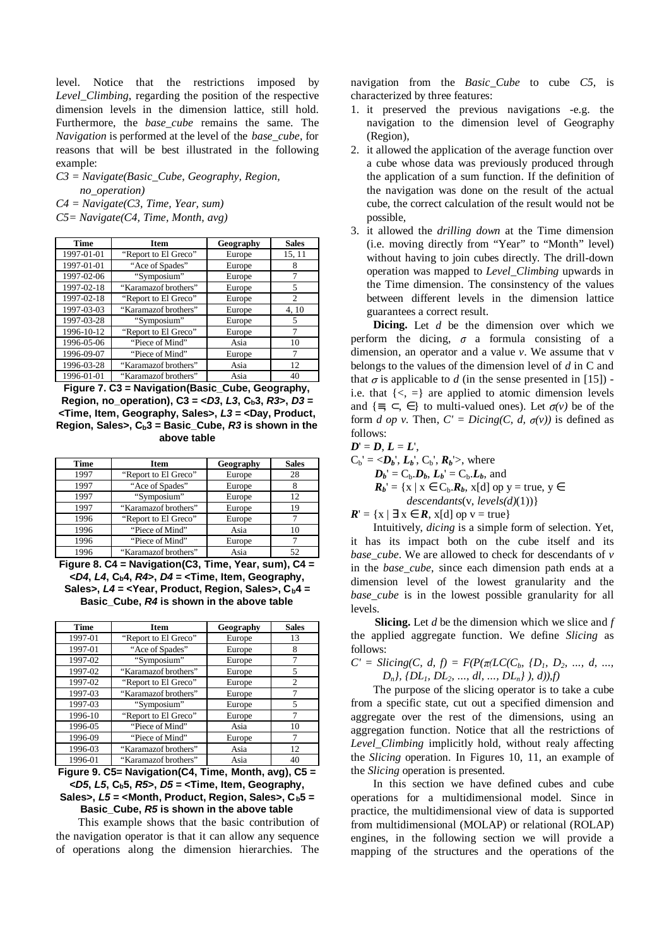level. Notice that the restrictions imposed by *Level\_Climbing*, regarding the position of the respective dimension levels in the dimension lattice, still hold. Furthermore, the *base\_cube* remains the same. The *Navigation* is performed at the level of the *base\_cube*, for reasons that will be best illustrated in the following example:

*C3 = Navigate(Basic\_Cube, Geography, Region, no\_operation)*

*C4 = Navigate(C3, Time, Year, sum)*

*C5= Navigate(C4, Time, Month, avg)*

| Time       | <b>Item</b>          | Geography | <b>Sales</b> |
|------------|----------------------|-----------|--------------|
| 1997-01-01 | "Report to El Greco" | Europe    | 15, 11       |
| 1997-01-01 | "Ace of Spades"      | Europe    | 8            |
| 1997-02-06 | "Symposium"          | Europe    | 7            |
| 1997-02-18 | "Karamazof brothers" | Europe    | 5            |
| 1997-02-18 | "Report to El Greco" | Europe    | 2            |
| 1997-03-03 | "Karamazof brothers" | Europe    | 4, 10        |
| 1997-03-28 | "Symposium"          | Europe    | 5            |
| 1996-10-12 | "Report to El Greco" | Europe    |              |
| 1996-05-06 | "Piece of Mind"      | Asia      | 10           |
| 1996-09-07 | "Piece of Mind"      | Europe    | 7            |
| 1996-03-28 | "Karamazof brothers" | Asia      | 12           |
| 1996-01-01 | "Karamazof brothers" | Asia      | 40           |

**Figure 7. C3 = Navigation(Basic\_Cube, Geography, Region, no\_operation), C3 = <D3, L3, Cb3, R3>, D3 = <Time, Item, Geography, Sales>, L3 = <Day, Product, Region, Sales>, Cb3 = Basic\_Cube, R3 is shown in the above table**

| <b>Time</b> | <b>Item</b>          | Geography | <b>Sales</b> |
|-------------|----------------------|-----------|--------------|
| 1997        | "Report to El Greco" | Europe    | 28           |
| 1997        | "Ace of Spades"      | Europe    | 8            |
| 1997        | "Symposium"          | Europe    | 12           |
| 1997        | "Karamazof brothers" | Europe    | 19           |
| 1996        | "Report to El Greco" | Europe    |              |
| 1996        | "Piece of Mind"      | Asia      | 10           |
| 1996        | "Piece of Mind"      | Europe    |              |
| 1996        | "Karamazof brothers" | Asia      | 52           |

**Figure 8. C4 = Navigation(C3, Time, Year, sum), C4 = <D4, L4, Cb4, R4>, D4 = <Time, Item, Geography, Sales>, L4 = <Year, Product, Region, Sales>, Cb4 = Basic\_Cube, R4 is shown in the above table**

| <b>Time</b> | <b>Item</b>                      | Geography | <b>Sales</b> |
|-------------|----------------------------------|-----------|--------------|
| 1997-01     | "Report to El Greco"             | Europe    | 13           |
| 1997-01     | "Ace of Spades"                  | Europe    | 8            |
| 1997-02     | "Symposium"                      | Europe    | 7            |
| 1997-02     | "Karamazof brothers"             | Europe    | 5            |
| 1997-02     | "Report to El Greco"             | Europe    | 2            |
| 1997-03     | "Karamazof brothers"             | Europe    | 7            |
| 1997-03     | "Symposium"                      | Europe    | 5            |
| 1996-10     | "Report to El Greco"             | Europe    | 7            |
| 1996-05     | "Piece of Mind"                  | Asia      | 10           |
| 1996-09     | "Piece of Mind"                  | Europe    | 7            |
| 1996-03     | "Karamazof brothers"             | Asia      | 12           |
| 1996-01     | "Karamazof brothers"<br><i>.</i> | Asia      | 40           |

**Figure 9. C5= Navigation(C4, Time, Month, avg), C5 = <D5, L5, Cb5, R5>, D5 = <Time, Item, Geography, Sales>, L5 = <Month, Product, Region, Sales>, Cb5 =**

**Basic\_Cube, R5 is shown in the above table**

This example shows that the basic contribution of the navigation operator is that it can allow any sequence of operations along the dimension hierarchies. The navigation from the *Basic\_Cube* to cube *C5*, is characterized by three features:

- 1. it preserved the previous navigations -e.g. the navigation to the dimension level of Geography (Region),
- 2. it allowed the application of the average function over a cube whose data was previously produced through the application of a sum function. If the definition of the navigation was done on the result of the actual cube, the correct calculation of the result would not be possible,
- 3. it allowed the *drilling down* at the Time dimension (i.e. moving directly from "Year" to "Month" level) without having to join cubes directly. The drill-down operation was mapped to *Level\_Climbing* upwards in the Time dimension. The consinstency of the values between different levels in the dimension lattice guarantees a correct result.

**Dicing.** Let *d* be the dimension over which we perform the dicing,  $\sigma$  a formula consisting of a dimension, an operator and a value *v*. We assume that v belongs to the values of the dimension level of *d* in C and that  $\sigma$  is applicable to *d* (in the sense presented in [15]) i.e. that  $\{\langle \cdot, \cdot \rangle\}$  are applied to atomic dimension levels and  $\{\equiv, \subset, \in\}$  to multi-valued ones). Let  $\sigma(v)$  be of the form *d op v.* Then,  $C' = Dicing(C, d, \sigma(v))$  is defined as follows:

 $D' = D, L = L'$ ,

$$
C_{b} = \langle D_{b}, L_{b}, C_{b}, R_{b} \rangle, \text{ where}
$$
  
\n
$$
D_{b} = C_{b} D_{b}, L_{b} = C_{b} L_{b}, \text{ and}
$$
  
\n
$$
R_{b} = \{x \mid x \in C_{b} R_{b}, x[d] \text{ op } y = \text{true}, y \in
$$
  
\ndescendants(v, levels(d)(1))\}

 $R' = \{x \mid \exists x \in R, x[d]$  op  $v = true\}$ 

Intuitively, *dicing* is a simple form of selection. Yet, it has its impact both on the cube itself and its *base\_cube.* We are allowed to check for descendants of *v* in the *base\_cube*, since each dimension path ends at a dimension level of the lowest granularity and the *base\_cube* is in the lowest possible granularity for all levels.

**Slicing.** Let *d* be the dimension which we slice and *f* the applied aggregate function. We define *Slicing* as follows:

 $C' = Slicing(C, d, f) = F(P(\pi(LC(C_b, {D_1, D_2, ..., d, ...,$ *Dn}, {DL1, DL2, ..., dl, ..., DLn} ), d)),f)*

The purpose of the slicing operator is to take a cube from a specific state, cut out a specified dimension and aggregate over the rest of the dimensions, using an aggregation function. Notice that all the restrictions of *Level\_Climbing* implicitly hold, without realy affecting the *Slicing* operation. In Figures 10, 11, an example of the *Slicing* operation is presented.

In this section we have defined cubes and cube operations for a multidimensional model. Since in practice, the multidimensional view of data is supported from multidimensional (MOLAP) or relational (ROLAP) engines, in the following section we will provide a mapping of the structures and the operations of the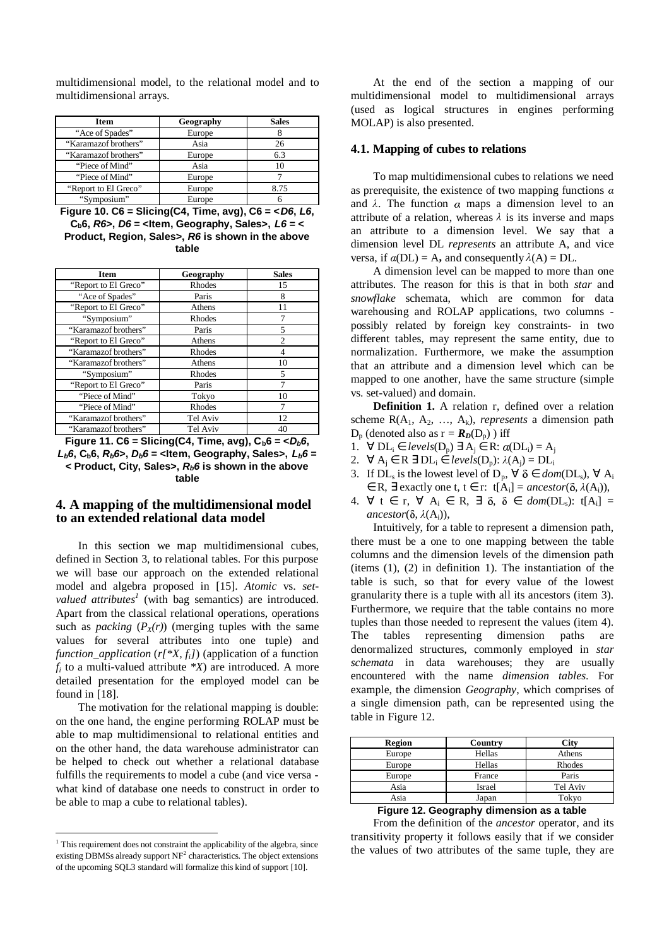multidimensional model, to the relational model and to multidimensional arrays.

| Item                 | Geography | <b>Sales</b> |
|----------------------|-----------|--------------|
| "Ace of Spades"      | Europe    |              |
| "Karamazof brothers" | Asia      | 26           |
| "Karamazof brothers" | Europe    | 6.3          |
| "Piece of Mind"      | Asia      | 10           |
| "Piece of Mind"      | Europe    |              |
| "Report to El Greco" | Europe    | 8.75         |
| "Symposium"          | Europe    |              |

**Figure 10. C6 = Slicing(C4, Time, avg), C6 = <D6, L6,**  $C_b$ 6,  $R$ 6 $>$ ,  $D$ 6 = <**Item, Geography, Sales** $>$ **,**  $L$ **6 = < Product, Region, Sales>, R6 is shown in the above table**

| <b>Item</b>          | Geography | <b>Sales</b>   |
|----------------------|-----------|----------------|
| "Report to El Greco" | Rhodes    | 15             |
| "Ace of Spades"      | Paris     | 8              |
| "Report to El Greco" | Athens    | 11             |
| "Symposium"          | Rhodes    | 7              |
| "Karamazof brothers" | Paris     | 5              |
| "Report to El Greco" | Athens    | $\overline{c}$ |
| "Karamazof brothers" | Rhodes    | 4              |
| "Karamazof brothers" | Athens    | 10             |
| "Symposium"          | Rhodes    | 5              |
| "Report to El Greco" | Paris     | 7              |
| "Piece of Mind"      | Tokyo     | 10             |
| "Piece of Mind"      | Rhodes    | 7              |
| "Karamazof brothers" | Tel Aviv  | 12             |
| "Karamazof brothers" | Tel Aviv  | 40             |

**Figure 11. C6 = Slicing(C4, Time, avg),**  $C_b 6 = \langle D_b 6, \rangle$  $L_b$ **6**,  $C_b$ **6**,  $R_b$ **6**>,  $D_b$ **6** = <**Item**, Geography, Sales>,  $L_b$ **6** = **< Product, City, Sales>, Rb6 is shown in the above table**

## **4. A mapping of the multidimensional model to an extended relational data model**

In this section we map multidimensional cubes, defined in Section 3, to relational tables. For this purpose we will base our approach on the extended relational model and algebra proposed in [15]. *Atomic* vs. *setvalued attributes<sup>1</sup>* (with bag semantics) are introduced. Apart from the classical relational operations, operations such as *packing*  $(P_X(r))$  (merging tuples with the same values for several attributes into one tuple) and *function\_application* (*r[\*X, fi]*) (application of a function *fi* to a multi-valued attribute *\*X*) are introduced. A more detailed presentation for the employed model can be found in [18].

The motivation for the relational mapping is double: on the one hand, the engine performing ROLAP must be able to map multidimensional to relational entities and on the other hand, the data warehouse administrator can be helped to check out whether a relational database fulfills the requirements to model a cube (and vice versa what kind of database one needs to construct in order to be able to map a cube to relational tables).

l

At the end of the section a mapping of our multidimensional model to multidimensional arrays (used as logical structures in engines performing MOLAP) is also presented.

### **4.1. Mapping of cubes to relations**

To map multidimensional cubes to relations we need as prerequisite, the existence of two mapping functions  $\alpha$ and  $\lambda$ . The function  $\alpha$  maps a dimension level to an attribute of a relation, whereas  $\lambda$  is its inverse and maps an attribute to a dimension level. We say that a dimension level DL *represents* an attribute A, and vice versa, if  $\alpha(DL) = A$ , and consequently  $\lambda(A) = DL$ .

A dimension level can be mapped to more than one attributes. The reason for this is that in both *star* and *snowflake* schemata, which are common for data warehousing and ROLAP applications, two columns possibly related by foreign key constraints- in two different tables, may represent the same entity, due to normalization. Furthermore, we make the assumption that an attribute and a dimension level which can be mapped to one another, have the same structure (simple vs. set-valued) and domain.

**Definition 1.** A relation r, defined over a relation scheme  $R(A_1, A_2, ..., A_k)$ , *represents* a dimension path  $D_p$  (denoted also as  $r = R_D(D_p)$ ) iff

- 1.  $∀ DL<sub>i</sub> ∈ levels(D<sub>p</sub>) ∃ A<sub>i</sub> ∈ R: a(DL<sub>i</sub>) = A<sub>i</sub>$
- 2.  $\forall A_j \in R \exists DL_i \in levels(D_p): \lambda(A_j) = DL_i$
- 3. If  $DL_s$  is the lowest level of  $D_p$ ,  $\forall \delta \in dom(DL_s)$ ,  $\forall A_i$  $\in$  R,  $\exists$  exactly one t, t  $\in$  r: t[A<sub>i</sub>] = *ancestor*( $\delta$ ,  $\lambda$ (A<sub>i</sub>)),
- 4.  $\forall$  t  $\in$  r,  $\forall$  A<sub>i</sub>  $\in$  R,  $\exists$   $\delta$ ,  $\delta$   $\in$   $dom(DL<sub>s</sub>)$ : t[A<sub>i</sub>] =  $\textit{ancestor}(\delta, \lambda(A_i)),$

Intuitively, for a table to represent a dimension path, there must be a one to one mapping between the table columns and the dimension levels of the dimension path (items (1), (2) in definition 1). The instantiation of the table is such, so that for every value of the lowest granularity there is a tuple with all its ancestors (item 3). Furthermore, we require that the table contains no more tuples than those needed to represent the values (item 4). The tables representing dimension paths are denormalized structures, commonly employed in *star schemata* in data warehouses; they are usually encountered with the name *dimension tables*. For example, the dimension *Geography*, which comprises of a single dimension path, can be represented using the table in Figure 12.

| <b>Region</b> | Country                                            | <b>City</b> |
|---------------|----------------------------------------------------|-------------|
| Europe        | Hellas                                             | Athens      |
| Europe        | Hellas                                             | Rhodes      |
| Europe        | France                                             | Paris       |
| Asia          | Israel                                             | Tel Aviv    |
| Asia          | Japan                                              | Tokyo       |
|               | $\Gamma$ ianna 40. Caeanamhar dhuanaign ea a tabla |             |

**Figure 12. Geography dimension as a table**

From the definition of the *ancestor* operator, and its transitivity property it follows easily that if we consider the values of two attributes of the same tuple, they are

<sup>&</sup>lt;sup>1</sup> This requirement does not constraint the applicability of the algebra, since existing DBMSs already support  $NF<sup>2</sup>$  characteristics. The object extensions of the upcoming SQL3 standard will formalize this kind of support [10].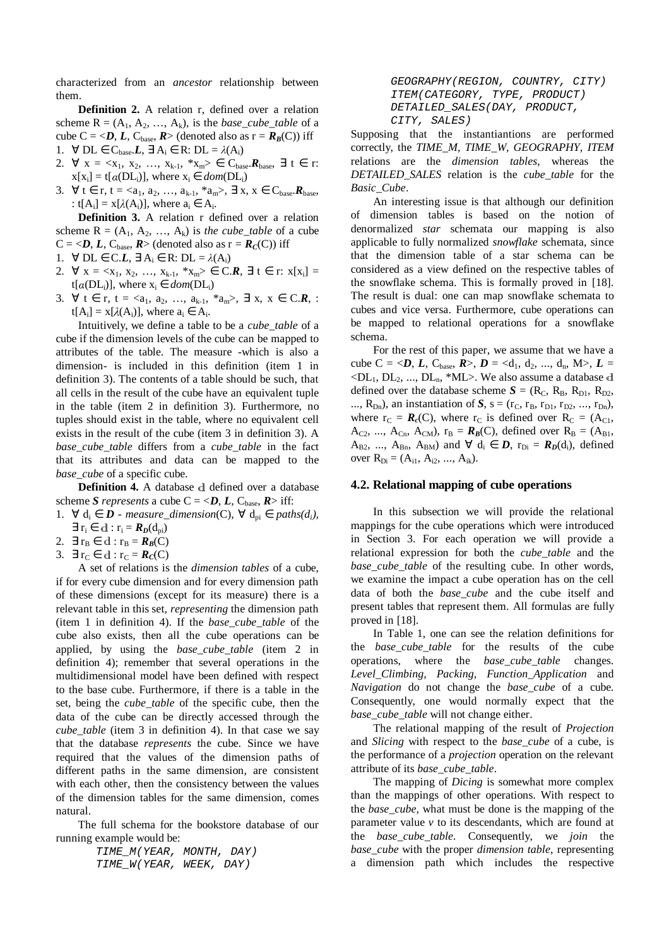characterized from an *ancestor* relationship between them.

**Definition 2.** A relation r, defined over a relation scheme  $R = (A_1, A_2, ..., A_k)$ , is the *base\_cube\_table* of a cube  $C = \langle D, L, C_{base}, R \rangle$  (denoted also as  $r = R_B(C)$ ) iff 1.  $\forall$  DL  $\in$  C<sub>base</sub>.*L*,  $\exists$  A<sub>i</sub>  $\in$  R: DL  $= \lambda(A_i)$ 

- 2.  $\forall$   $x = \langle x_1, x_2, ..., x_{k-1}, x_{m} \rangle \in C_{base}$ .  $\mathbb{R}_{base}$ ,  $\exists$   $t \in r$ .  $x[x_i] = t[\alpha(DL_i)],$  where  $x_i \in dom(DL_i)$
- 3.  $\forall$  t  $\in$  r, t = <a<sub>1</sub>, a<sub>2</sub>, ..., a<sub>k-1</sub>, \*a<sub>m</sub>>,  $\exists$  x, x  $\in$  C<sub>base</sub>. $\mathbf{R}_{base}$ : t[ $A_i$ ] =  $x[\lambda(A_i)]$ , where  $a_i \in A_i$ .

**Definition 3.** A relation r defined over a relation scheme  $R = (A_1, A_2, ..., A_k)$  is *the cube\_table* of a cube  $C = \langle D, L, C_{base}, R \rangle$  (denoted also as  $r = R_C(C)$ ) iff

- 1.  $\forall$  DL  $\in$  C.*L*,  $\exists$  A<sub>i</sub>  $\in$  R: DL =  $\lambda$ (A<sub>i</sub>)
- 2.  $\forall$   $x = \langle x_1, x_2, ..., x_{k-1}, x_{m} \rangle \in C.R$ ,  $\exists$   $t \in r: x[x_i]$  $t[\alpha(DL_i)]$ , where  $x_i \in dom(DL_i)$
- 3.  $\forall$  t  $\in$  r, t = <a<sub>1</sub>, a<sub>2</sub>, ..., a<sub>k-1</sub>, \*a<sub>m</sub>>,  $\exists$  x, x  $\in$  C.**R**, :  $t[A_i] = x[\lambda(A_i)],$  where  $a_i \in A_i$ .

Intuitively, we define a table to be a *cube\_table* of a cube if the dimension levels of the cube can be mapped to attributes of the table. The measure -which is also a dimension- is included in this definition (item 1 in definition 3). The contents of a table should be such, that all cells in the result of the cube have an equivalent tuple in the table (item 2 in definition 3). Furthermore, no tuples should exist in the table, where no equivalent cell exists in the result of the cube (item 3 in definition 3). A *base\_cube\_table* differs from a *cube\_table* in the fact that its attributes and data can be mapped to the *base\_cube* of a specific cube.

Definition 4. A database d defined over a database scheme *S represents* a cube  $C = \langle D, L, C_{base}, R \rangle$  iff:

- 1. ∀  $d_i$  ∈ *D measure\_dimension*(C), ∀  $d_{ni}$  ∈ *paths(d<sub><i>i*</sub>),
- $\exists r_i \in d : r_i = R_D(d_{pi})$
- 2.  $\exists$   $r_B \in d : r_B = R_B(C)$

3.  $\exists r_C \in d : r_C = R_C(C)$ 

A set of relations is the *dimension tables* of a cube, if for every cube dimension and for every dimension path of these dimensions (except for its measure) there is a relevant table in this set, *representing* the dimension path (item 1 in definition 4). If the *base\_cube\_table* of the cube also exists, then all the cube operations can be applied, by using the *base\_cube\_table* (item 2 in definition 4); remember that several operations in the multidimensional model have been defined with respect to the base cube. Furthermore, if there is a table in the set, being the *cube\_table* of the specific cube, then the data of the cube can be directly accessed through the *cube\_table* (item 3 in definition 4). In that case we say that the database *represents* the cube. Since we have required that the values of the dimension paths of different paths in the same dimension, are consistent with each other, then the consistency between the values of the dimension tables for the same dimension, comes natural.

The full schema for the bookstore database of our running example would be:

> TIME\_M(YEAR, MONTH, DAY) TIME\_W(YEAR, WEEK, DAY)

GEOGRAPHY(REGION, COUNTRY, CITY) ITEM(CATEGORY, TYPE, PRODUCT) DETAILED\_SALES(DAY, PRODUCT, CITY, SALES)

Supposing that the instantiantions are performed correctly, the *TIME\_M, TIME\_W, GEOGRAPHY, ITEM* relations are the *dimension tables*, whereas the *DETAILED\_SALES* relation is the *cube\_table* for the *Basic\_Cube*.

An interesting issue is that although our definition of dimension tables is based on the notion of denormalized *star* schemata our mapping is also applicable to fully normalized *snowflake* schemata, since that the dimension table of a star schema can be considered as a view defined on the respective tables of the snowflake schema. This is formally proved in [18]. The result is dual: one can map snowflake schemata to cubes and vice versa. Furthermore, cube operations can be mapped to relational operations for a snowflake schema.

For the rest of this paper, we assume that we have a cube  $C = \langle D, L, C_{base}, R \rangle, D = \langle d_1, d_2, ..., d_n, M \rangle, L =$  $\langle DL_1, DL_2, ..., DL_n, *ML \rangle$ . We also assume a database d defined over the database scheme  $S = (R_C, R_B, R_{D1}, R_{D2},$ ...,  $R_{Dn}$ ), an instantiation of *S*, s = ( $r_C$ ,  $r_B$ ,  $r_{D1}$ ,  $r_{D2}$ , ...,  $r_{Dn}$ ), where  $r_C = \mathbf{R}_c(C)$ , where  $r_C$  is defined over  $R_C = (A_{C1},$  $A_{C2}$ , ...,  $A_{Cn}$ ,  $A_{CM}$ ),  $r_B = R_B(C)$ , defined over  $R_B = (A_{B1}$ ,  $A_{B2}$ , ...,  $A_{Bn}$ ,  $A_{BM}$ ) and  $\forall d_i \in D$ ,  $r_{Di} = R_D(d_i)$ , defined over  $R_{Di} = (A_{i1}, A_{i2}, ..., A_{ik}).$ 

### **4.2. Relational mapping of cube operations**

In this subsection we will provide the relational mappings for the cube operations which were introduced in Section 3. For each operation we will provide a relational expression for both the *cube\_table* and the *base\_cube\_table* of the resulting cube. In other words, we examine the impact a cube operation has on the cell data of both the *base\_cube* and the cube itself and present tables that represent them. All formulas are fully proved in [18].

In Table 1, one can see the relation definitions for the *base* cube table for the results of the cube operations, where the *base\_cube\_table* changes. *Level\_Climbing, Packing, Function\_Application* and *Navigation* do not change the *base\_cube* of a cube. Consequently, one would normally expect that the *base\_cube\_table* will not change either.

The relational mapping of the result of *Projection* and *Slicing* with respect to the *base\_cube* of a cube, is the performance of a *projection* operation on the relevant attribute of its *base\_cube\_table*.

The mapping of *Dicing* is somewhat more complex than the mappings of other operations. With respect to the *base\_cube,* what must be done is the mapping of the parameter value *v* to its descendants, which are found at the *base\_cube\_table.* Consequently, we *join* the *base\_cube* with the proper *dimension table*, representing a dimension path which includes the respective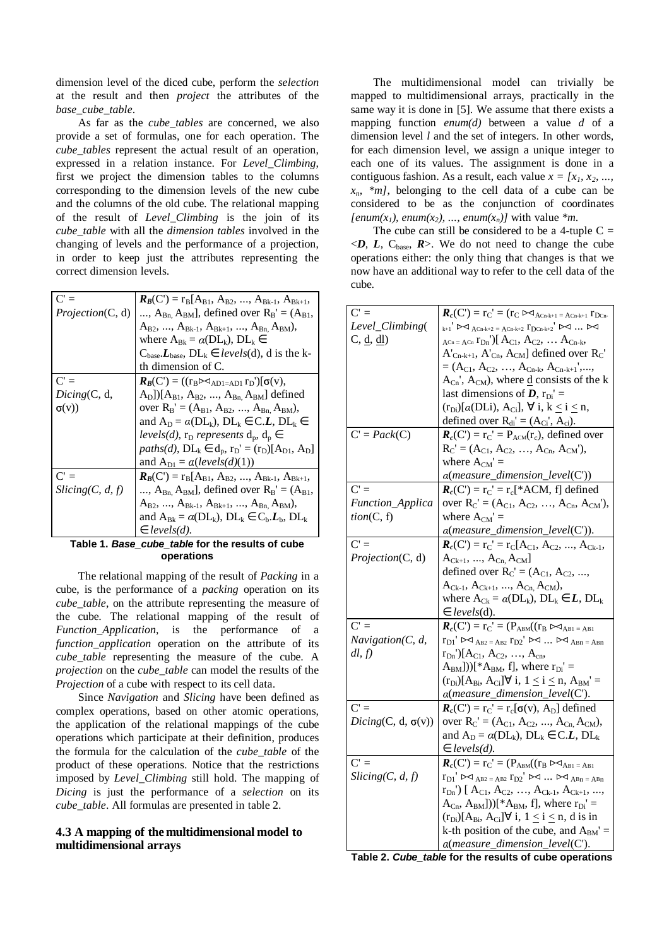dimension level of the diced cube, perform the *selection* at the result and then *project* the attributes of the *base\_cube\_table*.

As far as the *cube\_tables* are concerned, we also provide a set of formulas, one for each operation. The *cube\_tables* represent the actual result of an operation, expressed in a relation instance. For *Level\_Climbing*, first we project the dimension tables to the columns corresponding to the dimension levels of the new cube and the columns of the old cube. The relational mapping of the result of *Level\_Climbing* is the join of its *cube\_table* with all the *dimension tables* involved in the changing of levels and the performance of a projection, in order to keep just the attributes representing the correct dimension levels.

| $C' =$           | $R_B(C') = r_B[A_{B1}, A_{B2}, , A_{Bk-1}, A_{Bk+1},$     |
|------------------|-----------------------------------------------------------|
| Projection(C, d) | , $A_{Bn}$ , $A_{BM}$ ], defined over $R_B' = (A_{B1},$   |
|                  | $A_{B2}, , A_{Bk-1}, A_{Bk+1}, , A_{Bn}, A_{BM}$          |
|                  | where $A_{Bk} = a(DL_k)$ , $DL_k \in$                     |
|                  | $C_{base}$ , $DL_k \in levels(d)$ , d is the k-           |
|                  | th dimension of C.                                        |
| $C' =$           | $R_B(C') = ((r_B \bowtie_{AD1 = AD1} r_D')[\sigma(v)),$   |
| Dicing(C, d,     | $(A_D])[A_{B1}, A_{B2}, , A_{Bn}, A_{BM}]$ defined        |
| $\sigma(v)$      | over $R_B' = (A_{B1}, A_{B2}, , A_{Bn}, A_{BM})$ ,        |
|                  | and $A_D = \alpha(DL_k)$ , $DL_k \in C.L$ , $DL_k \in$    |
|                  | levels(d), $r_D$ represents $d_p$ , $d_p \in$             |
|                  | $paths(d), DLk \in dp, rD' = (rD)[AD1, AD]$               |
|                  | and $A_{D1} = a(levels(d)(1))$                            |
| $C' =$           | $R_B(C') = r_B[A_{B1}, A_{B2}, , A_{Bk-1}, A_{Bk+1},$     |
| Slicing(C, d, f) | , $A_{Bn}$ , $A_{BM}$ ], defined over $R_B' = (A_{B1},$   |
|                  | $A_{B2}, , A_{Bk-1}, A_{Bk+1}, , A_{Bn}, A_{BM}$          |
|                  | and $A_{Bk} = \alpha(DL_k)$ , $DL_k \in C_b.L_b$ , $DL_k$ |
|                  | $\in$ levels(d).                                          |

#### **Table 1. Base\_cube\_table for the results of cube operations**

The relational mapping of the result of *Packing* in a cube, is the performance of a *packing* operation on its *cube\_table*, on the attribute representing the measure of the cube. The relational mapping of the result of *Function\_Application*, is the performance of a *function\_application* operation on the attribute of its *cube\_table* representing the measure of the cube. A *projection* on the *cube\_table* can model the results of the *Projection* of a cube with respect to its cell data.

Since *Navigation* and *Slicing* have been defined as complex operations, based on other atomic operations, the application of the relational mappings of the cube operations which participate at their definition, produces the formula for the calculation of the *cube\_table* of the product of these operations. Notice that the restrictions imposed by *Level\_Climbing* still hold. The mapping of *Dicing* is just the performance of a *selection* on its *cube\_table*. All formulas are presented in table 2.

## **4.3 A mapping of the multidimensional model to multidimensional arrays**

The multidimensional model can trivially be mapped to multidimensional arrays, practically in the same way it is done in [5]. We assume that there exists a mapping function *enum(d)* between a value *d* of a dimension level *l* and the set of integers. In other words, for each dimension level, we assign a unique integer to each one of its values. The assignment is done in a contiguous fashion. As a result, each value  $x = \{x_1, x_2, \ldots, x_n\}$ *xn, \*m]*, belonging to the cell data of a cube can be considered to be as the conjunction of coordinates *[enum(x<sub>1</sub>), enum(x<sub>2</sub>), ..., enum(x<sub>n</sub>)]* with value  $*$ *m*.

The cube can still be considered to be a 4-tuple  $C =$  $\langle D, L, C_{\text{base}}, R \rangle$ . We do not need to change the cube operations either: the only thing that changes is that we now have an additional way to refer to the cell data of the cube.

| $C' =$                              | $\boldsymbol{R}_{c}(C') = r_{C}^{\prime} = (r_{C} \bowtie_{A C n-k+1} P_{D C n-k+1}$                                |  |
|-------------------------------------|---------------------------------------------------------------------------------------------------------------------|--|
| Level_Climbing(                     | $_{k+1}^{\prime}$ $\bowtie$ ACn-k+2 = ACn-k+2 $r_{DCh-k+2}^{\prime}$ $\bowtie$ $\bowtie$                            |  |
| $C, \underline{d}, \underline{dl})$ | $_{ACn = ACn}$ $r_{Dn}$ <sup>'</sup> )[ $A_{C1}$ , $A_{C2}$ , $A_{Cn-k}$ ,                                          |  |
|                                     | $A'_{Cn-k+1}$ , $A'_{Cn}$ , $A_{CM}$ ] defined over $R_C$ '                                                         |  |
|                                     | $=(A_{C1}, A_{C2}, , A_{Cn-k}, A_{Cn-k+1}, ,$                                                                       |  |
|                                     | $A_{\text{Cn}}$ , $A_{\text{CM}}$ , where <u>d</u> consists of the k                                                |  |
|                                     | last dimensions of <b>D</b> , $r_{Di}$ =                                                                            |  |
|                                     | $(r_{Di})[\alpha(DLi), A_{Ci}], \forall i, k \leq i \leq n,$                                                        |  |
|                                     | defined over $R_{di} = (A_{Ci}, A_{ci})$ .                                                                          |  |
| $C' = Pack(C)$                      | $R_c(C') = r_C' = P_{ACM}(r_c)$ , defined over                                                                      |  |
|                                     | $R_C' = (A_{C1}, A_{C2}, , A_{Cn}, A_{CM}),$                                                                        |  |
|                                     | where $A_{CM}$ ' =                                                                                                  |  |
|                                     | $\alpha$ (measure_dimension_level(C'))                                                                              |  |
| $C' =$                              | $\mathbf{R}_c(C') = r_c' = r_c[$ *ACM, f] defined                                                                   |  |
| Function_Applica                    | over $R_C = (A_{C1}, A_{C2}, , A_{Cn}, A_{CM}),$                                                                    |  |
| tion(C, f)                          | where $A_{CM}$ ' =                                                                                                  |  |
|                                     | $a$ (measure_dimension_level(C')).                                                                                  |  |
| $C' =$                              | $\mathbf{R}_{c}(C') = r_{C} = r_{C}[A_{C1}, A_{C2}, , A_{Ck-1},$                                                    |  |
| Projection(C, d)                    | $A_{Ck+1}, , A_{Cn, A_{CM}}$                                                                                        |  |
|                                     | defined over $R_C = (A_{C1}, A_{C2}, ,$                                                                             |  |
|                                     | $A_{Ck-1}, A_{Ck+1}, , A_{Cn}, A_{CM}),$                                                                            |  |
|                                     | where $A_{Ck} = \alpha(DL_k)$ , $DL_k \in L$ , $DL_k$                                                               |  |
| $C' =$                              | $\in levels(d).$                                                                                                    |  |
|                                     | $R_c(C') = r_C' = (P_{ABM}((r_B \Join_{AB1 = AB1})$                                                                 |  |
| Navigation(C, d,                    | $r_{D1}$ <sup>'</sup> $\bowtie$ <sub>AB2 = AB2</sub> $r_{D2}$ <sup>'</sup> $\bowtie$ $\bowtie$ <sub>ABn = ABn</sub> |  |
| dl, f                               | $r_{Dn}$ ')[ $A_{C1}$ , $A_{C2}$ , , $A_{cn}$ ,                                                                     |  |
|                                     | $(A_{BM}]))[{}^*A_{BM}, f]$ , where $r_{Di}$ =<br>$(r_{Di})[A_{Bi}, A_{Ci}] \forall i, 1 \le i \le n, A_{BM}$ =     |  |
|                                     | $\alpha$ (measure_dimension_level(C').                                                                              |  |
| $C' =$                              | $\mathbf{R}_c(C') = r_c' = r_c[\sigma(v), A_D]$ defined                                                             |  |
| $Dicing(C, d, \sigma(v))$           | over $R_C = (A_{C1}, A_{C2}, , A_{Cn}, A_{CM}),$                                                                    |  |
|                                     | and $A_D = a(DL_k)$ , $DL_k \in C.L$ , $DL_k$                                                                       |  |
|                                     | $\in levels(d).$                                                                                                    |  |
| $C' =$                              | $\boldsymbol{R}_{c}(C') = r_{C} = (P_{ABM}((r_{B} \bowtie_{AB1 = AB1})$                                             |  |
| Slicing(C, d, f)                    | $r_{D1}$ <sup>'</sup> $\bowtie$ <sub>AB2 = AB2</sub> $r_{D2}$ <sup>'</sup> $\bowtie$ $\bowtie$ <sub>ABn = ABn</sub> |  |
|                                     | $r_{Dn}$ ') [ $A_{C1}$ , $A_{C2}$ , , $A_{Ck-1}$ , $A_{Ck+1}$ , ,                                                   |  |
|                                     | $(A_{\text{Cn}}, A_{\text{BM}}))$ [* $A_{\text{BM}}$ , f], where $r_{\text{Di}}'$ =                                 |  |
|                                     | $(r_{Di})[A_{Bi}, A_{Ci}] \forall i, 1 \le i \le n$ , d is in                                                       |  |
|                                     | k-th position of the cube, and $A_{BM}$ =                                                                           |  |
|                                     | a(measure_dimension_level(C').                                                                                      |  |

**Table 2. Cube\_table for the results of cube operations**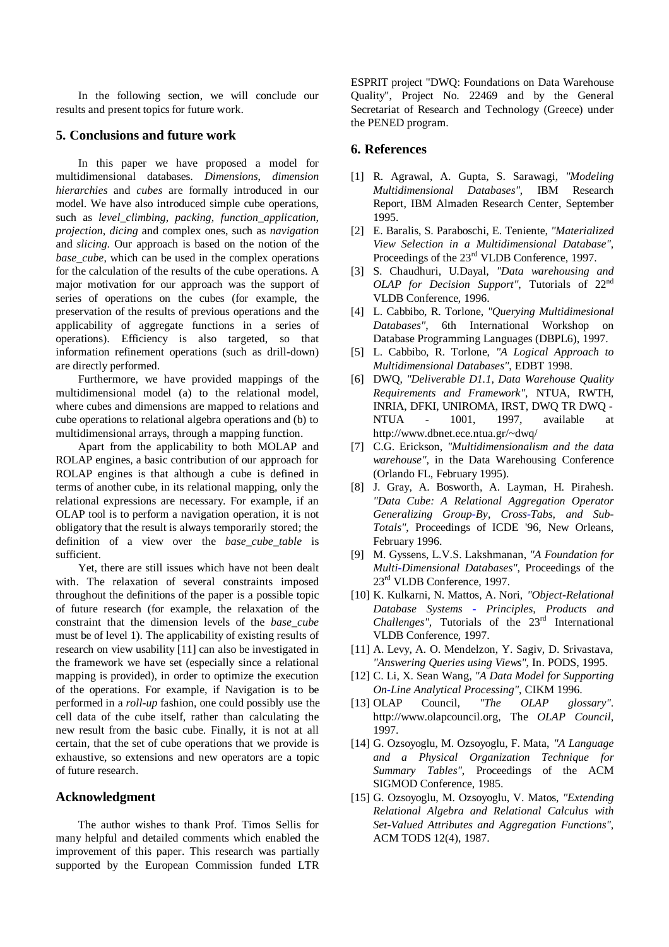In the following section, we will conclude our results and present topics for future work.

## **5. Conclusions and future work**

In this paper we have proposed a model for multidimensional databases. *Dimensions*, *dimension hierarchies* and *cubes* are formally introduced in our model. We have also introduced simple cube operations, such as *level\_climbing, packing, function\_application, projection*, *dicing* and complex ones, such as *navigation* and *slicing*. Our approach is based on the notion of the *base\_cube*, which can be used in the complex operations for the calculation of the results of the cube operations. A major motivation for our approach was the support of series of operations on the cubes (for example, the preservation of the results of previous operations and the applicability of aggregate functions in a series of operations). Efficiency is also targeted, so that information refinement operations (such as drill-down) are directly performed.

Furthermore, we have provided mappings of the multidimensional model (a) to the relational model, where cubes and dimensions are mapped to relations and cube operations to relational algebra operations and (b) to multidimensional arrays, through a mapping function.

Apart from the applicability to both MOLAP and ROLAP engines, a basic contribution of our approach for ROLAP engines is that although a cube is defined in terms of another cube, in its relational mapping, only the relational expressions are necessary. For example, if an OLAP tool is to perform a navigation operation, it is not obligatory that the result is always temporarily stored; the definition of a view over the *base\_cube\_table* is sufficient.

Yet, there are still issues which have not been dealt with. The relaxation of several constraints imposed throughout the definitions of the paper is a possible topic of future research (for example, the relaxation of the constraint that the dimension levels of the *base\_cube* must be of level 1). The applicability of existing results of research on view usability [11] can also be investigated in the framework we have set (especially since a relational mapping is provided), in order to optimize the execution of the operations. For example, if Navigation is to be performed in a *roll-up* fashion, one could possibly use the cell data of the cube itself, rather than calculating the new result from the basic cube. Finally, it is not at all certain, that the set of cube operations that we provide is exhaustive, so extensions and new operators are a topic of future research.

## **Acknowledgment**

The author wishes to thank Prof. Timos Sellis for many helpful and detailed comments which enabled the improvement of this paper. This research was partially supported by the European Commission funded LTR

ESPRIT project "DWQ: Foundations on Data Warehouse Quality", Project No. 22469 and by the General Secretariat of Research and Technology (Greece) under the PENED program.

### **6. References**

- [1] R. Agrawal, A. Gupta, S. Sarawagi, *"Modeling Multidimensional Databases"*, IBM Research Report, IBM Almaden Research Center, September 1995.
- [2] E. Baralis, S. Paraboschi, E. Teniente, *"Materialized View Selection in a Multidimensional Database"*, Proceedings of the 23rd VLDB Conference, 1997.
- [3] S. Chaudhuri, U.Dayal, *"Data warehousing and OLAP for Decision Support"*, Tutorials of 22nd VLDB Conference, 1996.
- [4] L. Cabbibo, R. Torlone, *"Querying Multidimesional Databases"*, 6th International Workshop on Database Programming Languages (DBPL6), 1997.
- [5] L. Cabbibo, R. Torlone, *"A Logical Approach to Multidimensional Databases"*, EDBT 1998.
- [6] DWQ, *"Deliverable D1.1, Data Warehouse Quality Requirements and Framework"*, NTUA, RWTH, INRIA, DFKI, UNIROMA, IRST, DWQ TR DWQ - NTUA - 1001, 1997, available at http://www.dbnet.ece.ntua.gr/~dwq/
- [7] C.G. Erickson, *"Multidimensionalism and the data warehouse"*, in the Data Warehousing Conference (Orlando FL, February 1995).
- [8] J. Gray, A. Bosworth, A. Layman, H. Pirahesh. *"Data Cube: A Relational Aggregation Operator Generalizing Group-By, Cross-Tabs, and Sub-Totals"*, Proceedings of ICDE '96, New Orleans, February 1996.
- [9] M. Gyssens, L.V.S. Lakshmanan, *"A Foundation for Multi-Dimensional Databases"*, Proceedings of the 23rd VLDB Conference, 1997.
- [10] K. Kulkarni, N. Mattos, A. Nori, *"Object-Relational Database Systems - Principles, Products and* Challenges", Tutorials of the 23<sup>rd</sup> International VLDB Conference, 1997.
- [11] A. Levy, A. O. Mendelzon, Y. Sagiv, D. Srivastava, *"Answering Queries using Views"*, In. PODS, 1995.
- [12] C. Li, X. Sean Wang, *"A Data Model for Supporting On-Line Analytical Processing"*, CIKM 1996.
- [13] OLAP Council, *"The OLAP glossary"*. http://www.olapcouncil.org, The *OLAP Council*, 1997.
- [14] G. Ozsoyoglu, M. Ozsoyoglu, F. Mata, *"A Language and a Physical Organization Technique for Summary Tables"*, Proceedings of the ACM SIGMOD Conference, 1985.
- [15] G. Ozsoyoglu, M. Ozsoyoglu, V. Matos, *"Extending Relational Algebra and Relational Calculus with Set-Valued Attributes and Aggregation Functions"*, ACM TODS 12(4), 1987.